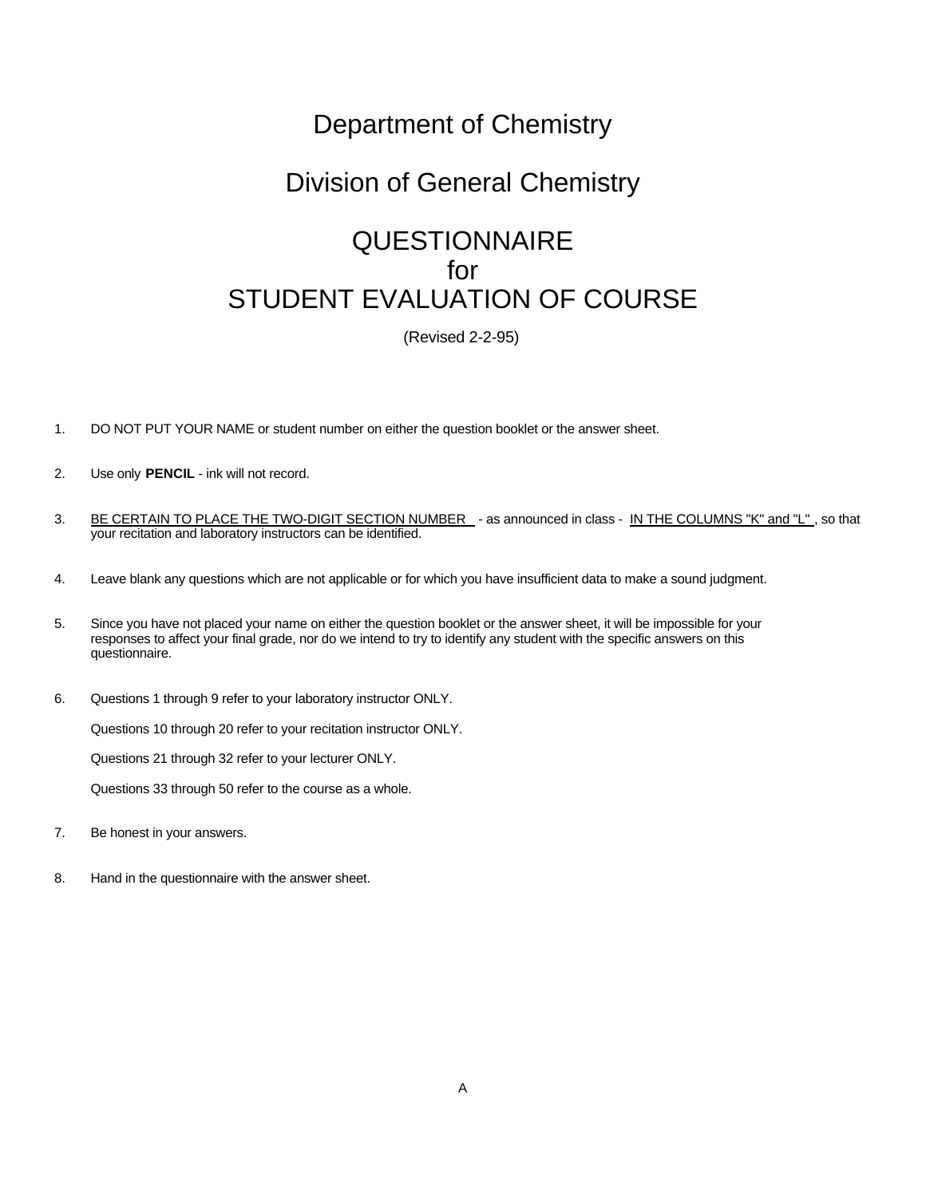## Department of Chemistry

## Division of General Chemistry

## **QUESTIONNAIRE** for STUDENT EVALUATION OF COURSE

(Revised 2-2-95)

- 1. DO NOT PUT YOUR NAME or student number on either the question booklet or the answer sheet.
- 2. Use only **PENCIL** ink will not record.
- 3. BE CERTAIN TO PLACE THE TWO-DIGIT SECTION NUMBER as announced in class IN THE COLUMNS "K" and "L", so that your recitation and laboratory instructors can be identified.
- 4. Leave blank any questions which are not applicable or for which you have insufficient data to make a sound judgment.
- 5. Since you have not placed your name on either the question booklet or the answer sheet, it will be impossible for your responses to affect your final grade, nor do we intend to try to identify any student with the specific answers on this questionnaire.
- 6. Questions 1 through 9 refer to your laboratory instructor ONLY.

Questions 10 through 20 refer to your recitation instructor ONLY.

Questions 21 through 32 refer to your lecturer ONLY.

Questions 33 through 50 refer to the course as a whole.

- 7. Be honest in your answers.
- 8. Hand in the questionnaire with the answer sheet.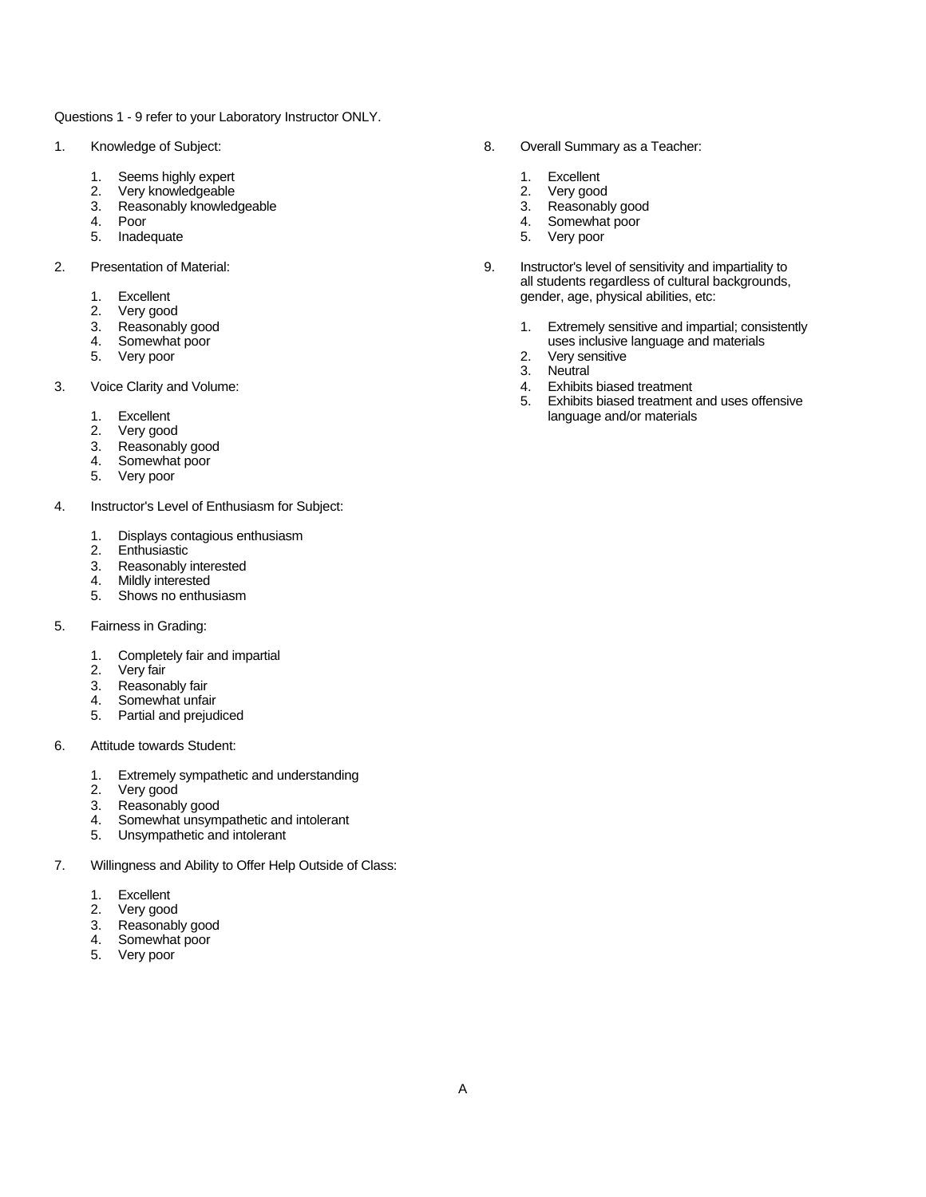Questions 1 - 9 refer to your Laboratory Instructor ONLY.

- - 1. Seems highly expert and the set of the set of the second second the Second 1. Excellent 2. Very good
	-
	- 2. Very knowledgeable<br>
	2. Very good<br>
	3. Reasonably knowledgeable<br>
	2. Reasonably good Reasonably knowledgeable 3.
	-
	- 5. Inadequate 5. Very poor
- -
	-
	- 2. Very good<br>3. Reasonably good
	-
	- 5. Very poor
- 3. Voice Clarity and Volume: 4. Exhibits biased treatment
	-
	- Very good
	- 3. Reasonably good
	- 4. Somewhat poor
	- 5. Very poor
- 4. Instructor's Level of Enthusiasm for Subject:
	- 1. Displays contagious enthusiasm
	- **Enthusiastic**
	- 3. Reasonably interested
	- 4. Mildly interested
	- 5. Shows no enthusiasm
- 5. Fairness in Grading:
	- 1. Completely fair and impartial
	- 2. Very fair
	- 3. Reasonably fair
	- 4. Somewhat unfair
	- 5. Partial and prejudiced
- 6. Attitude towards Student:
	- 1. Extremely sympathetic and understanding<br>2. Very good
	- Very good
	- 3. Reasonably good
	- 4. Somewhat unsympathetic and intolerant
	- 5. Unsympathetic and intolerant
- 7. Willingness and Ability to Offer Help Outside of Class:
	- 1. Excellent
	- 2. Very good
	- 3. Reasonably good
	- 4. Somewhat poor
	- 5. Very poor
- 1. Knowledge of Subject: 8. Overall Summary as a Teacher:
	-
	-
	-
	- 4. Poor 4. Somewhat poor 4. Somewhat poor 4. Somewhat poor 4. Somewhat poor 4. Somewhat poor 4. Somewhat poor
		-
- 2. Presentation of Material: 9. Instructor's level of sensitivity and impartiality to all students regardless of cultural backgrounds, 1. Excellent gender, age, physical abilities, etc:<br>
2. Very good
	- 3. Reasonably good 1. Extremely sensitive and impartial; consistently<br>4. Somewhat poor 1. Extremely sensitive and impartial; consistently<br>4. Somewhat poor uses inclusive language and materials<br>2. Very sensitive
		-
		- 3. Neutral
		-
	- 5. Exhibits biased treatment and uses offensive 1. Excellent language and/or materials and the language and/or materials and language and/or materials and language and language and language and language and language and language and language and language and language an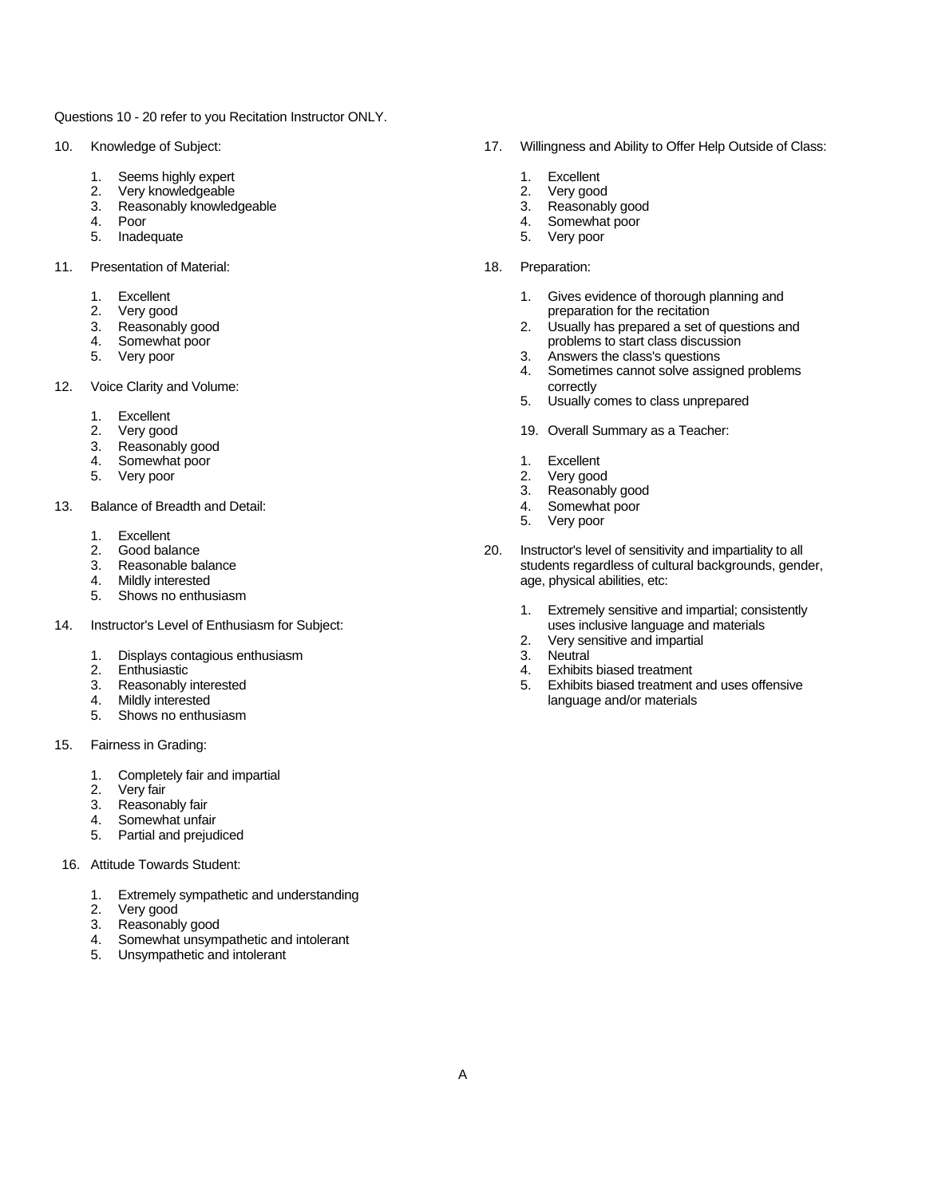Questions 10 - 20 refer to you Recitation Instructor ONLY.

- - 1. Seems highly expert **1. Excellent** 1. Excellent
	- 2. Very knowledgeable 2. Very good
	- 3. Reasonably knowledgeable 3. Reasonably good 4. Poor 3. Reasonably good 4. Poor
	-
	-
- 11. Presentation of Material: 18. Preparation:
	-
	-
	-
	-
	-
- 12. Voice Clarity and Volume: correctly and view of the correctly correctly correctly
	- 1. Excellent
	-
	- 3. Reasonably good
	- 4. Somewhat poor **1. Excellent**
	- 5. Very poor 2. Very good
- 13. Balance of Breadth and Detail: 4. Somewhat poor
	-
	- 1. Excellent<br>2. Good balance<br>3. Reasonable ba
	-
	-
	- 5. Shows no enthusiasm
- 14. Instructor's Level of Enthusiasm for Subject: uses inclusive language and materials and materials and materials and materials and materials and materials and materials and materials and materials and materials and mate
	- 1. Displays contagious enthusiasm<br>2. Enthusiastic
	-
	-
	-
	- 5. Shows no enthusiasm
- 15. Fairness in Grading:
	- 1. Completely fair and impartial<br>
	2. Very fair<br>
	3. Reasonably fair<br>
	4. Somewhat unfair
	- Very fair
	- Reasonably fair
	- 4. Somewhat unfair<br>5. Partial and preiud
	- Partial and prejudiced
- 16. Attitude Towards Student:
	- 1. Extremely sympathetic and understanding
	- 2. Very good
	- 3. Reasonably good
	- 4. Somewhat unsympathetic and intolerant
	- 5. Unsympathetic and intolerant
- 10. Knowledge of Subject: 17. Willingness and Ability to Offer Help Outside of Class:
	-
	-
	-
	- **Poor 1.** Poor **1.** Poor **1.** Poor **1.** Poor **1.** Poor **1.** All Somewhat poor
	- 5. Inadequate 5. Very poor
		- -
	- 1. Excellent 1. Gives evidence of thorough planning and<br>
	2. Very good<br>
	3. Reasonably good<br>
	4. Somewhat poor<br>
	4. Somewhat poor<br>
	4. Somewhat poor<br>
	4. Somewhat poor<br>
	4. Somewhat poor<br>
	4. Somewhat poor<br>
	4. Somewhat poor<br>
	4. So Very good example and the recitation of the recitation of the recitation Reasonably good example and the recitation of  $\sim$  2. Usually has prepared a set of  $\sim$  2. 2. Usually has prepared a set of questions and 4. Somewhat poor **problems to start class discussion**<br>
	5. Very poor **problems to start class's questions**<br>
	3. Answers the class's questions
		- 3. Answers the class's questions
		- 4. Sometimes cannot solve assigned problems
		- 5. Usually comes to class unprepared
		- 19. Overall Summary as a Teacher:
		-
		-
		- 3. Reasonably good
		-
		- 5. Very poor
	- 20. Instructor's level of sensitivity and impartiality to all<br>Reasonable balance example of sensitivity and impartiality to all<br>students regardless of cultural backgrounds, gency 3. Reasonable balance students regardless of cultural backgrounds, gender, and the matter of cultural backgrounds, gender, and the matter of cultural backgrounds, gender, and the matter of cultural backgrounds, gender, and age, physical abilities, etc:
		- 1. Extremely sensitive and impartial; consistently
		- 2. Very sensitive and impartial<br>3. Neutral
		-
		- 2. Enthusiastic 4. Exhibits biased treatment
	- 3. Reasonably interested 5. Exhibits biased treatment and uses offensive<br>4. Mildly interested and/or materials language and/or materials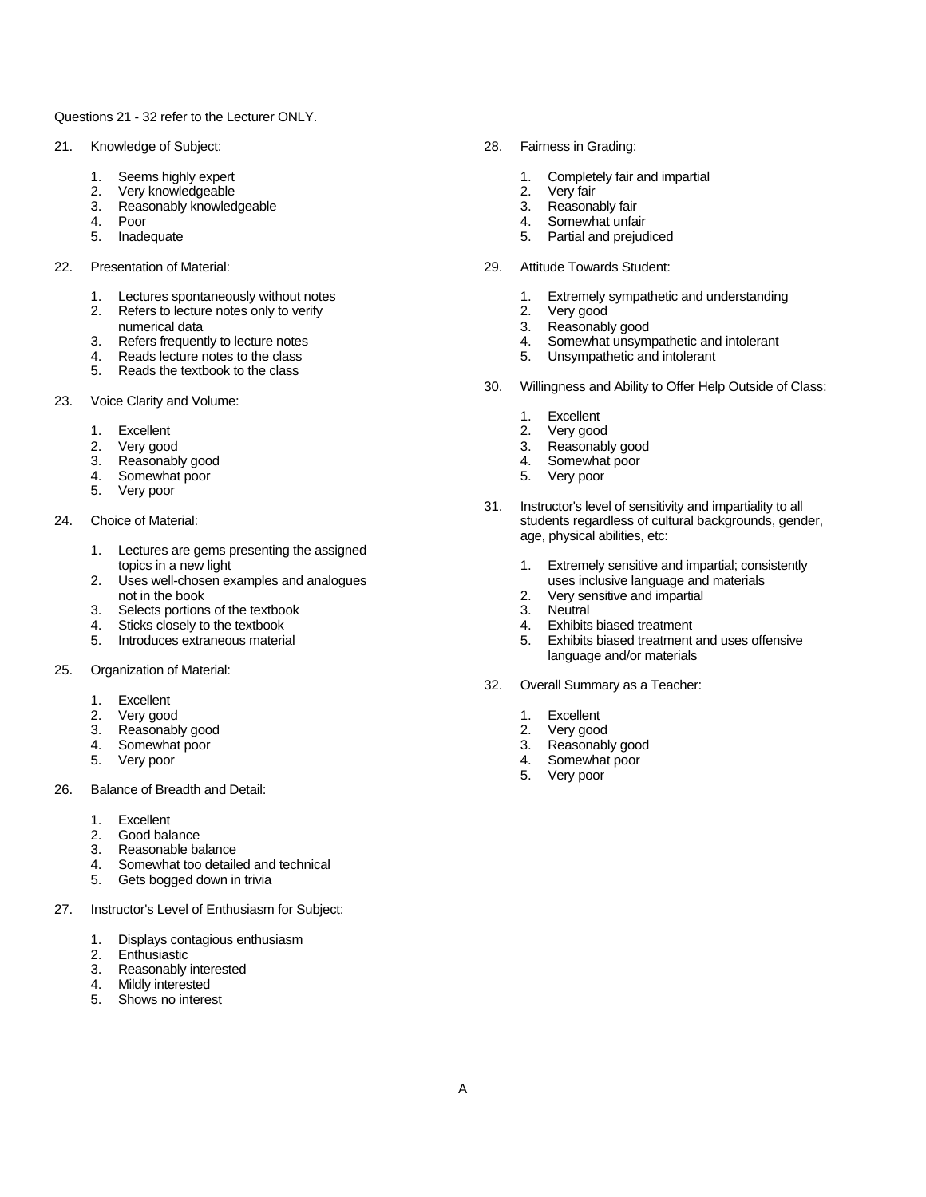## Questions 21 - 32 refer to the Lecturer ONLY.

- 21. Knowledge of Subject: 28. Fairness in Grading:
	-
	- Very knowledgeable 2. Very fair 2. Very fair 2. Very fair 2. Very fair 2. Very fair 2. Very fair 2. Very fair 2. Very fair 2. Very fair 2. Very fair 2. Very fair 2. Very fair 2. Very fair 2. Very fair 2. Very fair 2. Very
	- Reasonably knowledgeable 3.
	-
	- 5. Inadequate 5. Partial and prejudiced
- 22. Presentation of Material: 29. Attitude Towards Student:
	-
	- 2. Refers to lecture notes only to verify the same control of the 2. Very good
	- numerical data and a settle reaches a settle reaches and the settle reaches a settle reaches a settle reaches a settle reaches a settle reaches a settle reaches a settle reaches a settle reaches a settle reaches a settle r
	- 4. Reads lecture notes to the class
	- 5. Reads the textbook to the class
- 23. Voice Clarity and Volume:
	-
	- 1. Excellent 1. Excellent 1. Excellent 1. Excellent 1. Excellent 1. Excellent 1. Excellent 1. Excellent 1. Excel<br>2. Very good 1. Excellent 1. Excellent 1. Excellent 1. Excellent 1. Excellent 1. Excellent 1. Excellent 1. Ex
	- 3. Reasonably good and the set of the set of the set of the set of the set of the set of the set of the set of the set of the set of the set of the set of the set of the set of the set of the set of the set of the set of t
	- Somewhat poor
	- 5. Very poor
- - 1. Lectures are gems presenting the assigned<br>topics in a new light
	- 2. Uses well-chosen examples and analogues not in the book 2. Very sensitive and impartial
	- 3. Selects portions of the textbook 3. Neutral 3. Neutral 3. Neutral 3. Neutral 4. Sticks closely to the textbook 4. Exhibits biased treatment
	- 4. Sticks closely to the textbook 4. At a state that the textbook 4.<br>5. Introduces extraneous material 4. At a state treatment of the state of the state of the state of the state o
	-
- 25. Organization of Material:
	- 1. Excellent
	-
	- 2. Very good 2. Version of the second version of the second version of the second version of the second version of the second version of the second version of the second version of the second version of the second version 3. Reasonably good
	- 4. Somewhat poor and the state of the state of the state of the state of the Somewhat poor state of the state of the state of the state of the state of the state of the state of the state of the state of the state of the s
	-
- 26. Balance of Breadth and Detail:
	- 1. Excellent
	- 2. Good balance
	- 3. Reasonable balance<br>4. Somewhat too detaile
	- Somewhat too detailed and technical
	- 5. Gets bogged down in trivia
- 27. Instructor's Level of Enthusiasm for Subject:
	- 1. Displays contagious enthusiasm
	- 2. Enthusiastic
	- 3. Reasonably interested
	- 4. Mildly interested
	- 5. Shows no interest
- 
- 1. Seems highly expert 1. Completely fair and impartial<br>
2. Very knowledgeable 1. Completely fair<br>
1. Completely fair 1. Completely fair 1. Completely fair 1. Completely fair 1. Completely fair 1. Completely<br>
1. Completely
	-
	-
- 4. Poor 4. Somewhat unfair
	-
	-
- 1. Lectures spontaneously without notes 1. Extremely sympathetic and understanding
	-
	-
	- 4. Somewhat unsympathetic and intolerant<br>5. Unsympathetic and intolerant
	-
	- 30. Willingness and Ability to Offer Help Outside of Class:
		-
		- 1. Excellent<br>2. Very good
		-
- 2. Very good 3. Reasonably good
	-
- 31. Instructor's level of sensitivity and impartiality to all 24. Choice of Material: students regardless of cultural backgrounds, gender, age, physical abilities, etc:
	- 1. Extremely sensitive and impartial; consistently<br>uses inclusive language and materials
	-
	-
	-
	- Exhibits biased treatment and uses offensive language and/or materials
	- 32. Overall Summary as a Teacher:
		-
		-
		-
	- 5. Very poor 4. Somewhat poor
		- 5. Very poor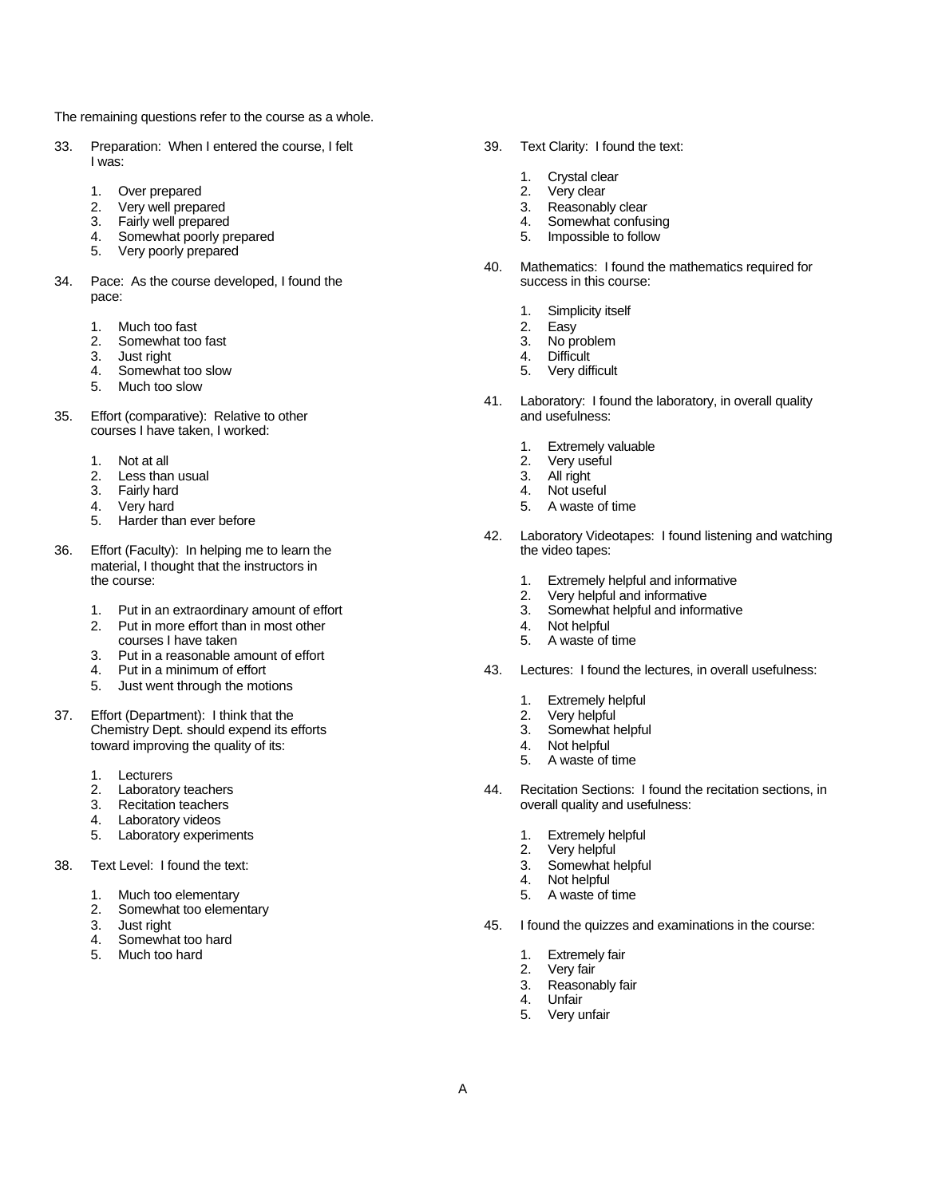The remaining questions refer to the course as a whole.

- 33. Preparation: When I entered the course, I felt 39. Text Clarity: I found the text: I was:
	-
	- 1. Over prepared 2. 2. Very well prepared 2. 2. 2. Very well prepared **3.** Reasonably clear
	- 3. Fairly well prepared 4. Somewhat confusing
	- 4. Somewhat poorly prepared 5. Impossible to follow
	- 5. Very poorly prepared
- 34. Pace: As the course developed, I found the pace:
	-
	- 1. Much too fast and the second second second second second second second second second second second second second second second second second second second second second second second second second second second second s 2. Somewhat too fast and the second state of the second state of the second state of the second state of the second state of the second state of the second state of the second state of the second state of the second state
	-
	- 3. Just right too slow the control of the control of the control of the control of the control of the control of the control of the control of the control of the control of the control of the control of the control of the 4. Somewhat too slow 5.
	- 5. Much too slow
- 35. Effort (comparative): Relative to other courses I have taken, I worked:
	-
	- 1. Not at all the same state of the state of the state of the state of the state of the state of the state of the state of the state of the state of the state of the state of the state of the state of the state of the stat 2. Less than usual and the same of the set of the set of the set of the set of the set of the set of the set of the set of the set of the set of the set of the set of the set of the set of the set of the set of the set of
	- 3. Fairly hard 4.
	-
	- 5. Harder than ever before
- 36. Effort (Faculty): In helping me to learn the material, I thought that the instructors in<br>the course:
	- 1. Put in an extraordinary amount of effort 1. 1. Somewhat helpful and informative 1. Put in more effort than in most other 1. Not helpful 4. Not helpful and informative
	- 2. Put in more effort than in most other 4. Not helpful<br>
	courses I have taken 5. A waste of
	- 3. Put in a reasonable amount of effort
	-
	- 4. Put in a minimum of effort<br>5. Just went through the motions
- 37. Effort (Department): I think that the 2. Very helpful 2. Very helpful chemistry Dept. should expend its efforts 3. Somewhat helpful Chemistry Dept. should expend its efforts 3. toward improving the quality of its: 4. Not helpful
	-
	- 1. Lecturers<br>2. Laboratory teachers
	-
	- 4. Laboratory videos
	- 5. Laboratory experiments **1.** Extremely helpful
- 38. Text Level: I found the text: 3. 3. Somewhat helpful helpful helpful helpful helpful helpful helpful helpful helpful helpful helpful helpful helpful helpful helpful helpful helpful helpful helpful helpful helpful helpf
	- 1. Much too elementary and the state of time state of time state of time state of time
	- 2. Somewhat too elementary
	-
	- 4. Somewhat too hard
	- 5. Much too hard 1. Extremely fair
- -
	- 1. Crystal clear<br>2. Very clear
	-
	-
	-
- 40. Mathematics: I found the mathematics required for
	- 1. Simplicity itself<br>2. Easy
	-
	-
	-
	-
- 41. Laboratory: I found the laboratory, in overall quality
	- 1. Extremely valuable<br>2. Very useful
	-
	-
	-
- 4. Very hard 6. A waste of time that the state of time is stated to the state of time in the state of time is stated to the state of time in the state of time is stated to the state of time in the state of time is stated t
	- 42. Laboratory Videotapes: I found listening and watching
		- 1. Extremely helpful and informative
		- 2. Very helpful and informative
		-
		-
		- 5. A waste of time
	- 43. Lectures: I found the lectures, in overall usefulness:
		-
		- 1. Extremely helpful<br>2. Very helpful
		-
		-
		- 5. A waste of time
- 44. Recitation Sections: I found the recitation sections, in 3. Recitation teachers overall quality and usefulness:
	-
	-
	- 2. Very helpful
	- Not helpful
	-
	- 45. I found the quizzes and examinations in the course:
		-
		- 2. Very fair
		- 3. Reasonably fair
		- **Unfair**
		- 5. Very unfair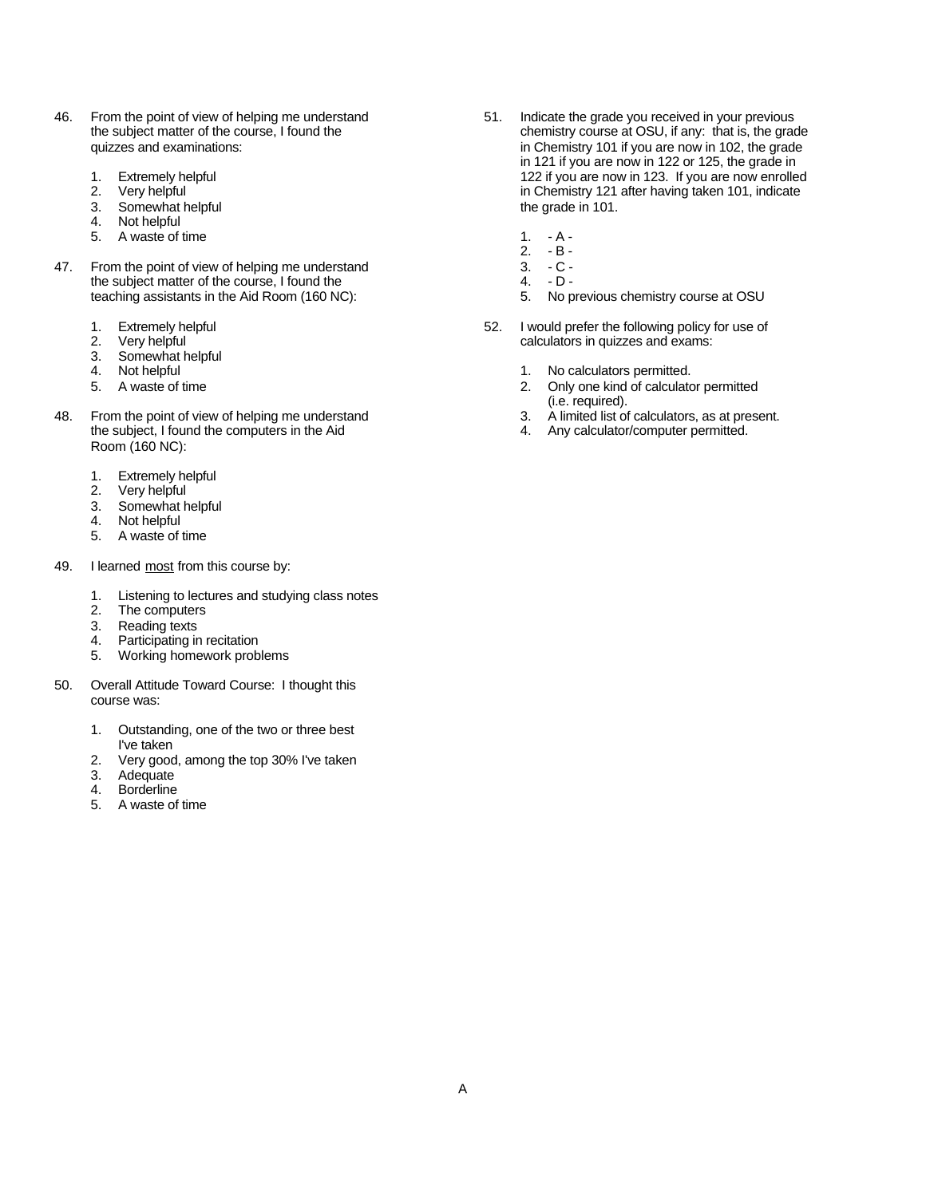- 46. From the point of view of helping me understand 51. Indicate the grade you received in your previous the subject matter of the course, I found the  $\frac{1}{2}$  for the subject matter of the course, I found the  $\frac{1}{2}$  f
	-
	-
	- 3. Somewhat helpful the grade in 101.
	- 4. Not helpful
	- 5. A waste of time 1. A -
- 47. From the point of view of helping me understand 3. C -<br>the subject matter of the course. I found the 4. D the subject matter of the course, I found the teaching assistants in the Aid Room (160 NC): 5. No previous chemistry course at OSU
	-
	-
	- 3. Somewhat helpful
	-
	-
- 48. From the point of view of helping me understand the subject, I found the computers in the Aid and the subject, I found the computers in the Aid 4. Any calculator/computer permitted. the subject, I found the computers in the Aid Room (160 NC):
	- 1. Extremely helpful
	- 2. Very helpful
	- 3. Somewhat helpful
	- 4. Not helpful
	- 5. A waste of time
- 49. I learned most from this course by:
	- 1. Listening to lectures and studying class notes
	- 2. The computers
	- 3. Reading texts<br>4. Participating in
	- Participating in recitation
	- 5. Working homework problems
- 50. Overall Attitude Toward Course: I thought this course was:
	- 1. Outstanding, one of the two or three best I've taken
	- 2. Very good, among the top 30% I've taken
	- 3. Adequate<br>4. Borderline
	- **Borderline**
	- 5. A waste of time
- chemistry course at OSU, if any: that is, the grade quizzes and examinations: in Chemistry 101 if you are now in 102, the grade in 121 if you are now in 122 or 125, the grade in 1. Extremely helpful 122 if you are now in 123. If you are now enrolled<br>122 if you are now enrolled<br>122 in Chemistry 121 after having taken 101, indicate in Chemistry 121 after having taken 101, indicate
	-
	- 2.  $-B -$ <br>3.  $-C -$
	-
	-
	-
- 1. Extremely helpful 52. I would prefer the following policy for use of 52. I would prefer the following policy for use of  $\overline{2}$ . calculators in quizzes and exams:
- 4. Not helpful 1. No calculators permitted.
- 5. A waste of time 2. Only one kind of calculator permitted
	- (i.e. required).
	-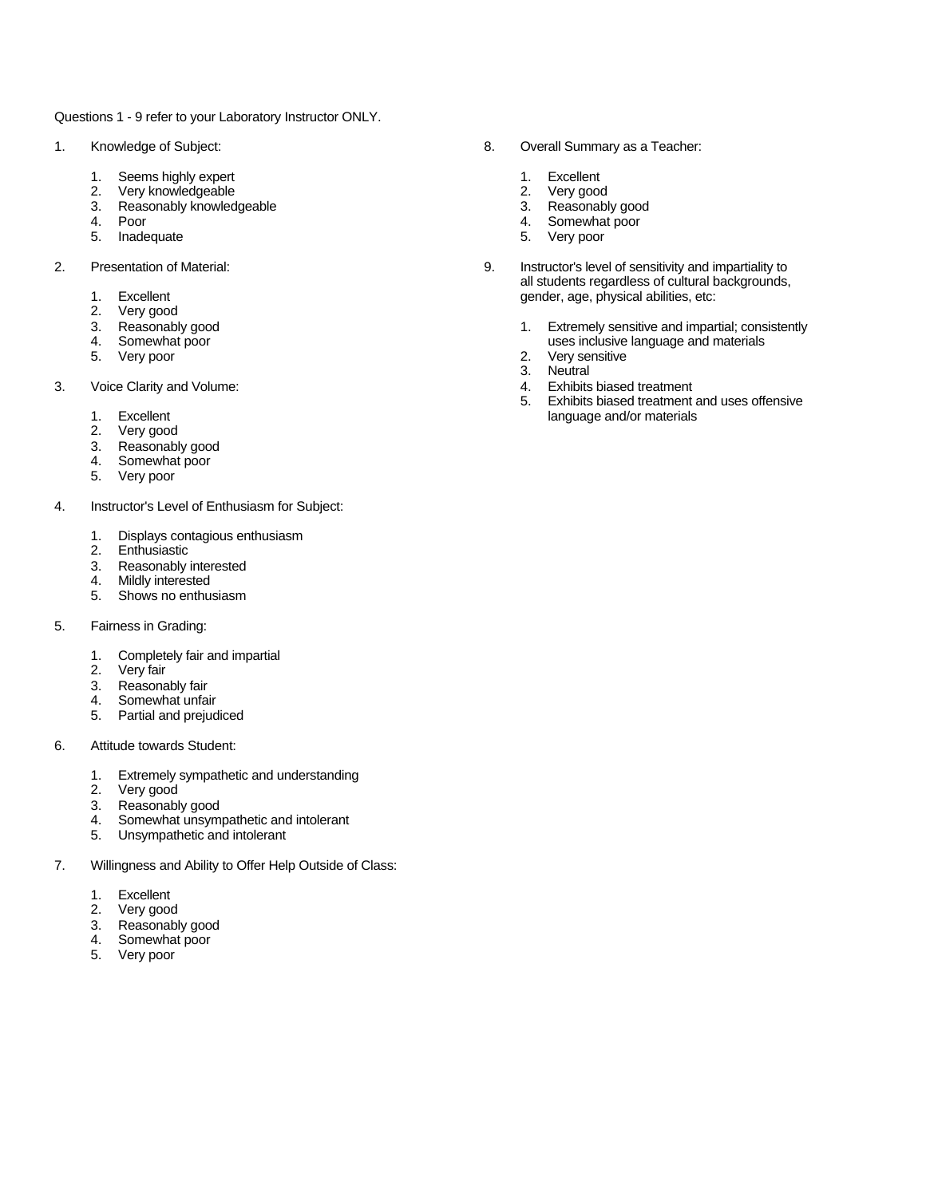Questions 1 - 9 refer to your Laboratory Instructor ONLY.

- - 1. Seems highly expert **1. Excellent** 1. Excellent
	- 2. Very knowledgeable 2. Very good
	- Reasonably knowledgeable 3. Reasonably good
	-
	-
- -
	-
	- 2. Very good<br>3. Reasonably good
	-
	- 5. Very poor
- 3. Voice Clarity and Volume: 4. Exhibits biased treatment
	-
	- Very good
	- 3. Reasonably good
	- 4. Somewhat poor
	- 5. Very poor
- 4. Instructor's Level of Enthusiasm for Subject:
	- 1. Displays contagious enthusiasm
	- **Enthusiastic**
	- 3. Reasonably interested
	- 4. Mildly interested
	- 5. Shows no enthusiasm
- 5. Fairness in Grading:
	- 1. Completely fair and impartial
	- 2. Very fair
	- 3. Reasonably fair
	- 4. Somewhat unfair
	- 5. Partial and prejudiced
- 6. Attitude towards Student:
	- 1. Extremely sympathetic and understanding<br>
	2. Very good<br>
	3. Reasonably good
	- Very good
	- Reasonably good
	- 4. Somewhat unsympathetic and intolerant
	- 5. Unsympathetic and intolerant
- 7. Willingness and Ability to Offer Help Outside of Class:
	- 1. Excellent
	- 2. Very good
	- 3. Reasonably good
	- 4. Somewhat poor
	- 5. Very poor
- 1. Knowledge of Subject: 8. Overall Summary as a Teacher:
	-
	-
	-
	- 4. Poor 4. Somewhat poor
	- 5. Inadequate 5. Very poor
- 2. Presentation of Material: 9. Instructor's level of sensitivity and impartiality to all students regardless of cultural backgrounds, 1. Excellent gender, age, physical abilities, etc:<br>
2. Very good
	- 3. Reasonably good 1. Extremely sensitive and impartial; consistently<br>4. Somewhat poor 1. Extremely sensitive and impartial; consistently<br>4. Somewhat poor uses inclusive language and materials<br>2. Very sensitive
		-
		- 3. Neutral
		-
	- 5. Exhibits biased treatment and uses offensive 1. Excellent language and/or materials and the language and/or materials and language and/or materials and language and language and language and language and language and language and language and language and language an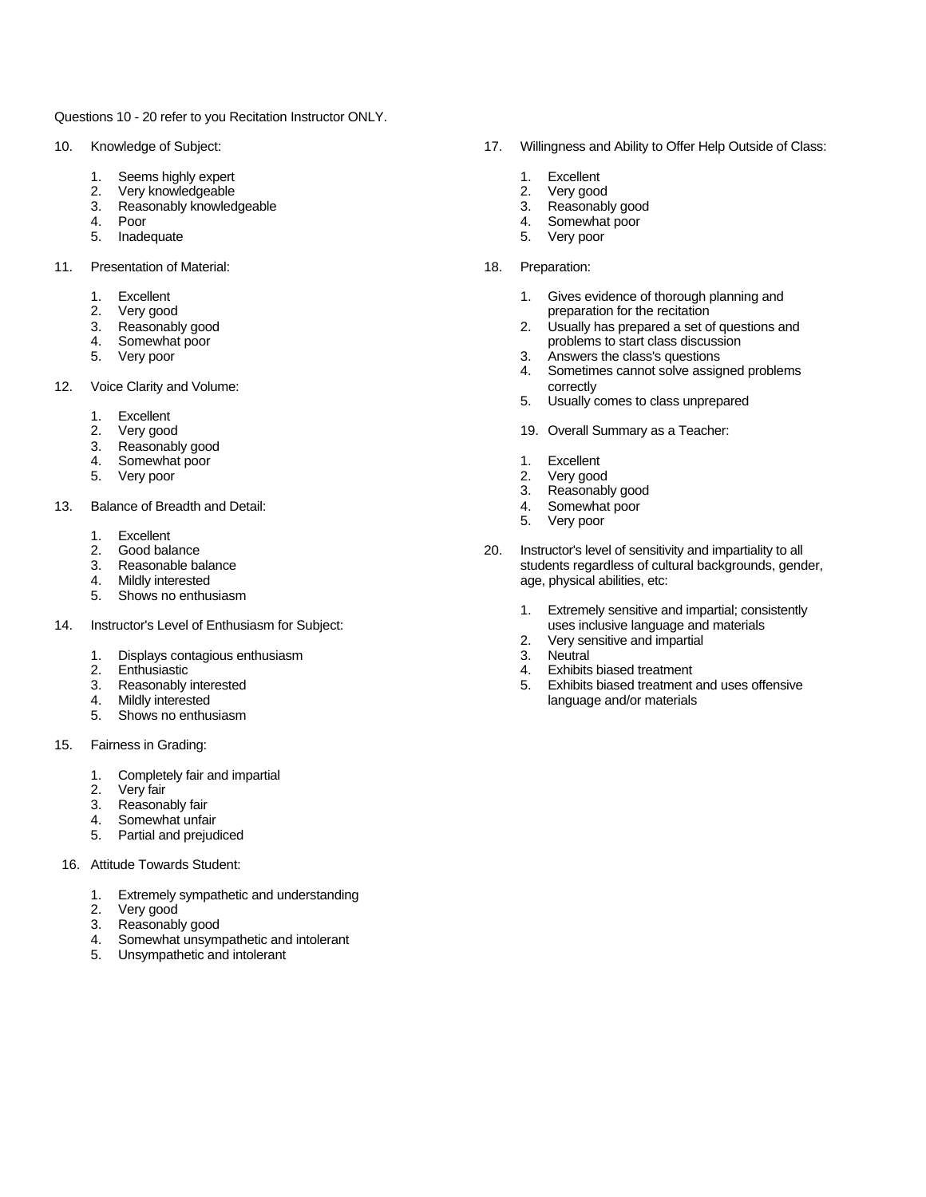Questions 10 - 20 refer to you Recitation Instructor ONLY.

- - 1. Seems highly expert **1. Excellent** 1. Excellent
	- 2. Very knowledgeable 2. Very good
	- 3. Reasonably knowledgeable 3. Reasonably good
	-
	-
- 11. Presentation of Material: 18. Preparation:
	-
	-
	-
	-
	-
- 12. Voice Clarity and Volume: correctly and view of the correctly correctly correctly
	- 1. Excellent
	-
	- 3. Reasonably good
	- 4. Somewhat poor **1. Excellent**
	- 5. Very poor 2. Very good
- 13. Balance of Breadth and Detail: 4. Somewhat poor
	-
	- 1. Excellent<br>2. Good balance<br>3. Reasonable ba
	-
	-
	- 5. Shows no enthusiasm
- 14. Instructor's Level of Enthusiasm for Subject: uses inclusive language and materials and materials and materials and materials and materials and materials and materials and materials and materials and materials and mate
	- 1. Displays contagious enthusiasm<br>2. Enthusiastic
	-
	-
	-
	- 5. Shows no enthusiasm
- 15. Fairness in Grading:
	- 1. Completely fair and impartial<br>
	2. Very fair<br>
	3. Reasonably fair<br>
	4. Somewhat unfair
	- Very fair
	- Reasonably fair
	- 4. Somewhat unfair<br>5. Partial and preiud
	- Partial and prejudiced
- 16. Attitude Towards Student:
	- 1. Extremely sympathetic and understanding
	- 2. Very good
	- 3. Reasonably good
	- 4. Somewhat unsympathetic and intolerant
	- 5. Unsympathetic and intolerant
- 10. Knowledge of Subject: 17. Willingness and Ability to Offer Help Outside of Class:
	-
	-
	-
	- 4. Poor 4. Somewhat poor
	- 5. Inadequate 5. Very poor
		- -
	- 1. Excellent 2. Very good<br>
	2. Very good<br>
	3. Reasonably good<br>
	4. Somewhat poor<br>
	4. Somewhat poor<br>
	4. Somewhat poor<br>
	4. Somewhat poor<br>
	4. Somewhat poor<br>
	4. Somewhat poor<br>
	4. Somewhat poor<br>
	4. Somewhat poor<br>
	4. Somewhat poor<br> Very good example and the recitation of the recitation of the recitation Reasonably good example and the recitation of  $\sim$  2. Usually has prepared a set of  $\sim$  2. 2. Usually has prepared a set of questions and 4. Somewhat poor and the start class discussion of the start class discussion of the problems to start class discussion of the start class of the start class of the start class of the start class of the start class of the
		- 3. Answers the class's questions
		- 4. Sometimes cannot solve assigned problems
		- 5. Usually comes to class unprepared
		- 19. Overall Summary as a Teacher:
		-
		-
		- 3. Reasonably good
		-
		- 5. Very poor
	- 20. Instructor's level of sensitivity and impartiality to all<br>Reasonable balance example of sensitivity and impartiality to all<br>students regardless of cultural backgrounds, gency 3. Reasonable balance students regardless of cultural backgrounds, gender, and the matter of cultural backgrounds, gender, and the matter of cultural backgrounds, gender, and the matter of cultural backgrounds, gender, and age, physical abilities, etc:
		- 1. Extremely sensitive and impartial; consistently
		- 2. Very sensitive and impartial<br>3. Neutral
		-
		- 2. Enthusiastic 4. Exhibits biased treatment
	- 3. Reasonably interested 5. Exhibits biased treatment and uses offensive<br>4. Mildly interested and/or materials language and/or materials